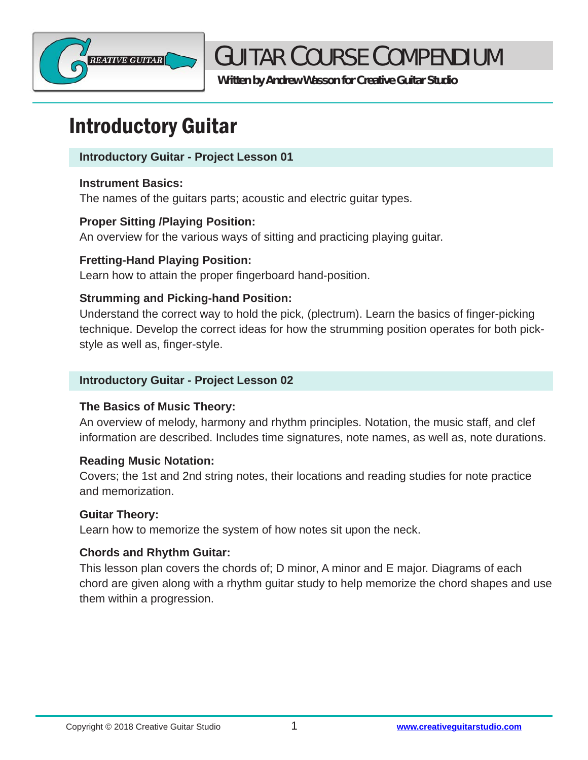

**Written by Andrew Wasson for Creative Guitar Studio**

# Introductory Guitar

# **Introductory Guitar - Project Lesson 01**

# **Instrument Basics:**

The names of the guitars parts; acoustic and electric guitar types.

# **Proper Sitting /Playing Position:**

An overview for the various ways of sitting and practicing playing guitar.

# **Fretting-Hand Playing Position:**

Learn how to attain the proper fingerboard hand-position.

# **Strumming and Picking-hand Position:**

Understand the correct way to hold the pick, (plectrum). Learn the basics of finger-picking technique. Develop the correct ideas for how the strumming position operates for both pickstyle as well as, finger-style.

# **Introductory Guitar - Project Lesson 02**

# **The Basics of Music Theory:**

An overview of melody, harmony and rhythm principles. Notation, the music staff, and clef information are described. Includes time signatures, note names, as well as, note durations.

# **Reading Music Notation:**

Covers; the 1st and 2nd string notes, their locations and reading studies for note practice and memorization.

# **Guitar Theory:**

Learn how to memorize the system of how notes sit upon the neck.

# **Chords and Rhythm Guitar:**

This lesson plan covers the chords of; D minor, A minor and E major. Diagrams of each chord are given along with a rhythm guitar study to help memorize the chord shapes and use them within a progression.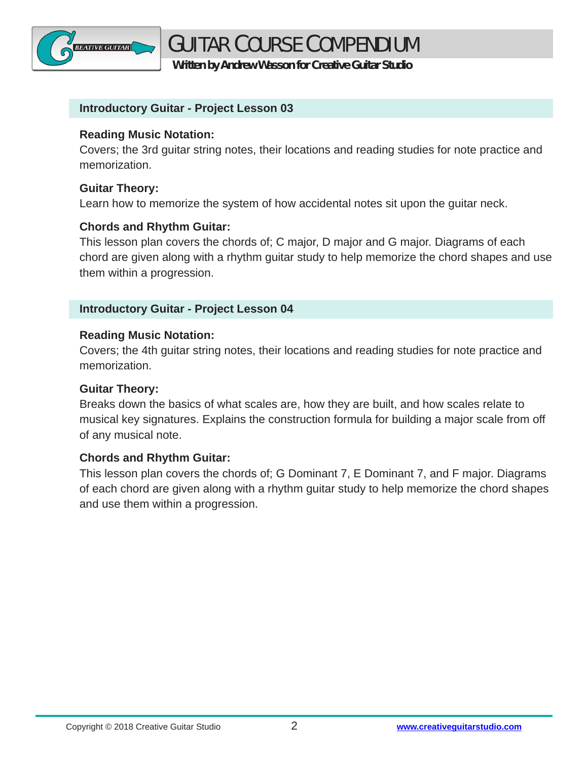

**Written by Andrew Wasson for Creative Guitar Studio**

#### **Introductory Guitar - Project Lesson 03**

#### **Reading Music Notation:**

Covers; the 3rd guitar string notes, their locations and reading studies for note practice and memorization.

#### **Guitar Theory:**

Learn how to memorize the system of how accidental notes sit upon the guitar neck.

# **Chords and Rhythm Guitar:**

This lesson plan covers the chords of; C major, D major and G major. Diagrams of each chord are given along with a rhythm guitar study to help memorize the chord shapes and use them within a progression.

#### **Introductory Guitar - Project Lesson 04**

#### **Reading Music Notation:**

Covers; the 4th guitar string notes, their locations and reading studies for note practice and memorization.

#### **Guitar Theory:**

Breaks down the basics of what scales are, how they are built, and how scales relate to musical key signatures. Explains the construction formula for building a major scale from off of any musical note.

# **Chords and Rhythm Guitar:**

This lesson plan covers the chords of; G Dominant 7, E Dominant 7, and F major. Diagrams of each chord are given along with a rhythm guitar study to help memorize the chord shapes and use them within a progression.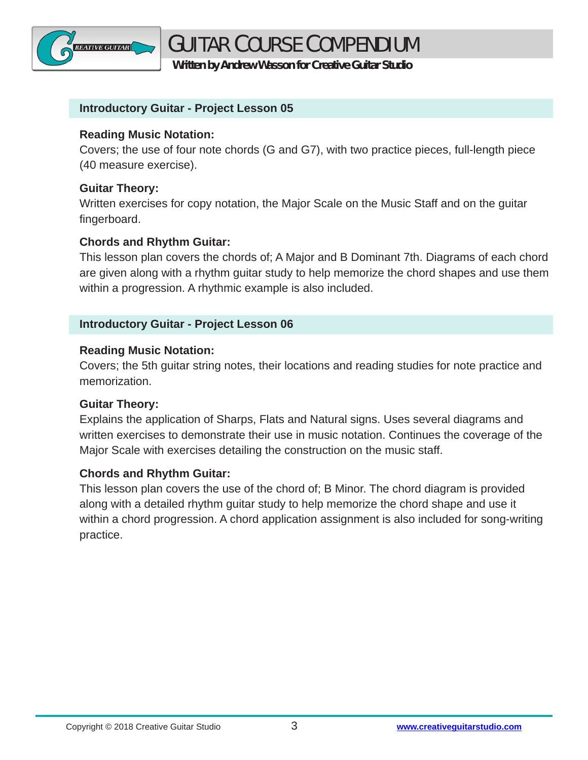

**Written by Andrew Wasson for Creative Guitar Studio**

#### **Introductory Guitar - Project Lesson 05**

#### **Reading Music Notation:**

Covers; the use of four note chords (G and G7), with two practice pieces, full-length piece (40 measure exercise).

#### **Guitar Theory:**

Written exercises for copy notation, the Major Scale on the Music Staff and on the guitar fingerboard.

# **Chords and Rhythm Guitar:**

This lesson plan covers the chords of; A Major and B Dominant 7th. Diagrams of each chord are given along with a rhythm guitar study to help memorize the chord shapes and use them within a progression. A rhythmic example is also included.

#### **Introductory Guitar - Project Lesson 06**

#### **Reading Music Notation:**

Covers; the 5th guitar string notes, their locations and reading studies for note practice and memorization.

#### **Guitar Theory:**

Explains the application of Sharps, Flats and Natural signs. Uses several diagrams and written exercises to demonstrate their use in music notation. Continues the coverage of the Major Scale with exercises detailing the construction on the music staff.

# **Chords and Rhythm Guitar:**

This lesson plan covers the use of the chord of; B Minor. The chord diagram is provided along with a detailed rhythm guitar study to help memorize the chord shape and use it within a chord progression. A chord application assignment is also included for song-writing practice.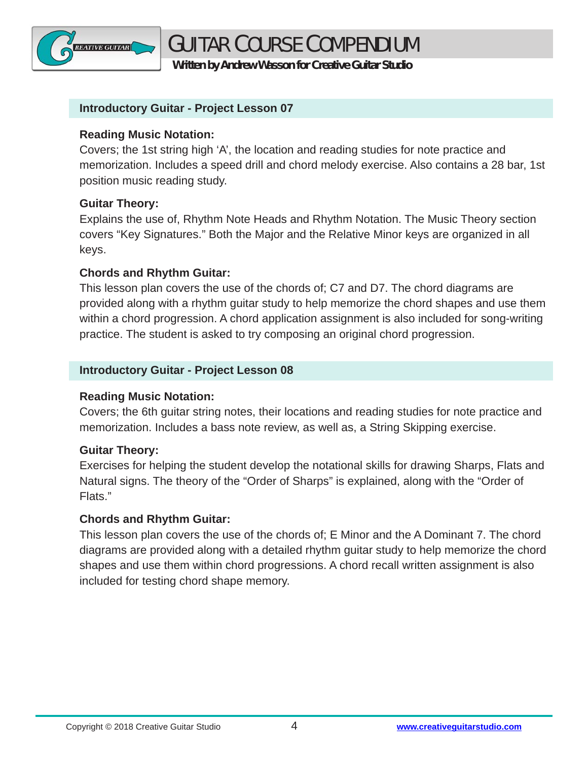

**Written by Andrew Wasson for Creative Guitar Studio**

#### **Introductory Guitar - Project Lesson 07**

#### **Reading Music Notation:**

Covers; the 1st string high 'A', the location and reading studies for note practice and memorization. Includes a speed drill and chord melody exercise. Also contains a 28 bar, 1st position music reading study.

# **Guitar Theory:**

Explains the use of, Rhythm Note Heads and Rhythm Notation. The Music Theory section covers "Key Signatures." Both the Major and the Relative Minor keys are organized in all keys.

# **Chords and Rhythm Guitar:**

This lesson plan covers the use of the chords of; C7 and D7. The chord diagrams are provided along with a rhythm guitar study to help memorize the chord shapes and use them within a chord progression. A chord application assignment is also included for song-writing practice. The student is asked to try composing an original chord progression.

#### **Introductory Guitar - Project Lesson 08**

# **Reading Music Notation:**

Covers; the 6th guitar string notes, their locations and reading studies for note practice and memorization. Includes a bass note review, as well as, a String Skipping exercise.

# **Guitar Theory:**

Exercises for helping the student develop the notational skills for drawing Sharps, Flats and Natural signs. The theory of the "Order of Sharps" is explained, along with the "Order of Flats."

# **Chords and Rhythm Guitar:**

This lesson plan covers the use of the chords of; E Minor and the A Dominant 7. The chord diagrams are provided along with a detailed rhythm guitar study to help memorize the chord shapes and use them within chord progressions. A chord recall written assignment is also included for testing chord shape memory.